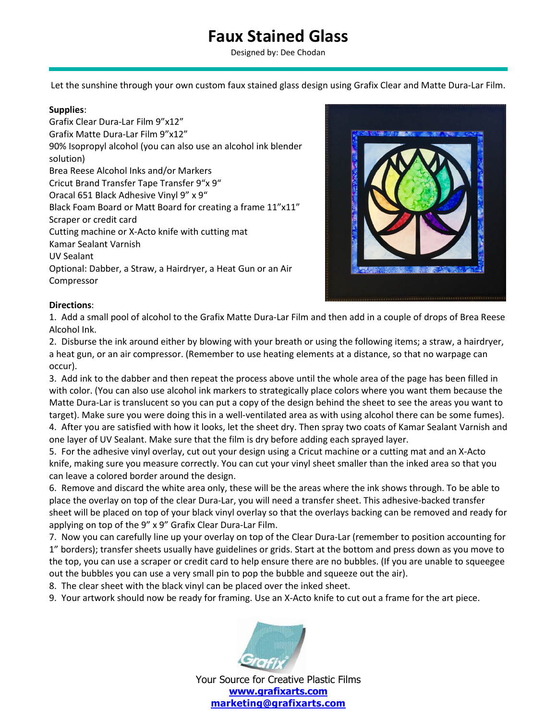## **Faux Stained Glass**

Designed by: Dee Chodan

Let the sunshine through your own custom faux stained glass design using Grafix Clear and Matte Dura-Lar Film.

## **Supplies**:

Grafix Clear Dura-Lar Film 9"x12" Grafix Matte Dura-Lar Film 9"x12" 90% Isopropyl alcohol (you can also use an alcohol ink blender solution) Brea Reese Alcohol Inks and/or Markers Cricut Brand Transfer Tape Transfer 9"x 9" Oracal 651 Black Adhesive Vinyl 9" x 9" Black Foam Board or Matt Board for creating a frame 11"x11" Scraper or credit card Cutting machine or X-Acto knife with cutting mat Kamar Sealant Varnish UV Sealant Optional: Dabber, a Straw, a Hairdryer, a Heat Gun or an Air Compressor



## **Directions**:

1. Add a small pool of alcohol to the Grafix Matte Dura-Lar Film and then add in a couple of drops of Brea Reese Alcohol Ink.

2. Disburse the ink around either by blowing with your breath or using the following items; a straw, a hairdryer, a heat gun, or an air compressor. (Remember to use heating elements at a distance, so that no warpage can occur).

3. Add ink to the dabber and then repeat the process above until the whole area of the page has been filled in with color. (You can also use alcohol ink markers to strategically place colors where you want them because the Matte Dura-Lar is translucent so you can put a copy of the design behind the sheet to see the areas you want to target). Make sure you were doing this in a well-ventilated area as with using alcohol there can be some fumes).

4. After you are satisfied with how it looks, let the sheet dry. Then spray two coats of Kamar Sealant Varnish and one layer of UV Sealant. Make sure that the film is dry before adding each sprayed layer.

5. For the adhesive vinyl overlay, cut out your design using a Cricut machine or a cutting mat and an X-Acto knife, making sure you measure correctly. You can cut your vinyl sheet smaller than the inked area so that you can leave a colored border around the design.

6. Remove and discard the white area only, these will be the areas where the ink shows through. To be able to place the overlay on top of the clear Dura-Lar, you will need a transfer sheet. This adhesive-backed transfer sheet will be placed on top of your black vinyl overlay so that the overlays backing can be removed and ready for applying on top of the 9" x 9" Grafix Clear Dura-Lar Film.

7. Now you can carefully line up your overlay on top of the Clear Dura-Lar (remember to position accounting for 1" borders); transfer sheets usually have guidelines or grids. Start at the bottom and press down as you move to the top, you can use a scraper or credit card to help ensure there are no bubbles. (If you are unable to squeegee out the bubbles you can use a very small pin to pop the bubble and squeeze out the air).

8. The clear sheet with the black vinyl can be placed over the inked sheet.

9. Your artwork should now be ready for framing. Use an X-Acto knife to cut out a frame for the art piece.



Your Source for Creative Plastic Films **www.grafixarts.com marketing@grafixarts.com**